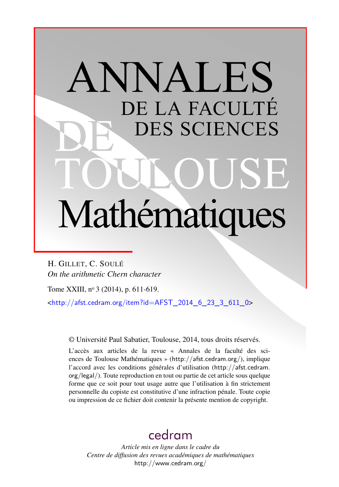# ANNALES DE LA FACULTÉ DES SCIENCES Mathématiques

H. GILLET, C. SOULÉ *On the arithmetic Chern character*

Tome XXIII, nº 3 (2014), p. 611-619.

 $\frac{\text{th}}{2}$  //afst.cedram.org/item?id=AFST\_2014\_6\_23\_3\_611\_0>

© Université Paul Sabatier, Toulouse, 2014, tous droits réservés.

L'accès aux articles de la revue « Annales de la faculté des sciences de Toulouse Mathématiques » (<http://afst.cedram.org/>), implique l'accord avec les conditions générales d'utilisation ([http://afst.cedram.](http://afst.cedram.org/legal/) [org/legal/](http://afst.cedram.org/legal/)). Toute reproduction en tout ou partie de cet article sous quelque forme que ce soit pour tout usage autre que l'utilisation à fin strictement personnelle du copiste est constitutive d'une infraction pénale. Toute copie ou impression de ce fichier doit contenir la présente mention de copyright.

# [cedram](http://www.cedram.org/)

*Article mis en ligne dans le cadre du Centre de diffusion des revues académiques de mathématiques* <http://www.cedram.org/>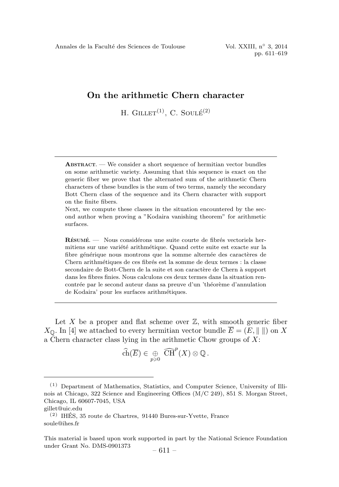## On the arithmetic Chern character

H. GILLET<sup>(1)</sup>, C. SOULE<sup> $(2)$ </sup>

 $ABSTRACT.$  We consider a short sequence of hermitian vector bundles on some arithmetic variety. Assuming that this sequence is exact on the generic fiber we prove that the alternated sum of the arithmetic Chern characters of these bundles is the sum of two terms, namely the secondary Bott Chern class of the sequence and its Chern character with support on the finite fibers.

Next, we compute these classes in the situation encountered by the second author when proving a "Kodaira vanishing theorem" for arithmetic surfaces.

 $R$ ÉSUMÉ.  $\equiv$  Nous considérons une suite courte de fibrés vectoriels hermitiens sur une variété arithmétique. Quand cette suite est exacte sur la fibre générique nous montrons que la somme alternée des caractères de Chern arithmétiques de ces fibrés est la somme de deux termes : la classe secondaire de Bott-Chern de la suite et son caractère de Chern à support dans les fibres finies. Nous calculons ces deux termes dans la situation rencontrée par le second auteur dans sa preuve d'un 'théorème d'annulation de Kodaira' pour les surfaces arithm´etiques.

Let X be a proper and flat scheme over  $\mathbb{Z}$ , with smooth generic fiber  $X_{\mathbb{O}}$ . In [4] we attached to every hermitian vector bundle  $\overline{E} = (E, \|\ \|)$  on X a Chern character class lying in the arithmetic Chow groups of  $X$ :

$$
\widehat{\text{ch}}(\overline{E}) \in \bigoplus_{p \geqslant 0} \widehat{\text{CH}}^p(X) \otimes \mathbb{Q}.
$$

<sup>(1)</sup> Department of Mathematics, Statistics, and Computer Science, University of Illinois at Chicago, 322 Science and Engineering Offices (M/C 249), 851 S. Morgan Street, Chicago, IL 60607-7045, USA

gillet@uic.edu

 $(2)$  IHÉS, 35 route de Chartres, 91440 Bures-sur-Yvette, France soule@ihes.fr

This material is based upon work supported in part by the National Science Foundation under Grant No. DMS-0901373  $-611-$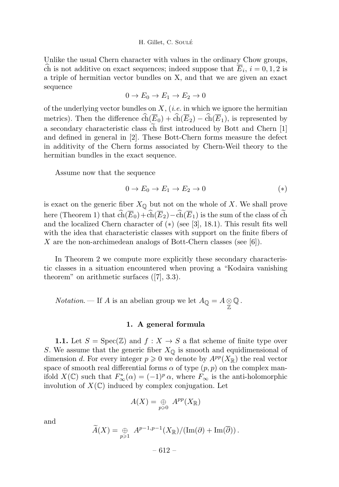#### H. Gillet, C. Soule´

Unlike the usual Chern character with values in the ordinary Chow groups, ch is not additive on exact sequences; indeed suppose that  $E_i$ ,  $i = 0, 1, 2$  is a triple of hermitian vector bundles on X, and that we are given an exact sequence

$$
0 \to E_0 \to E_1 \to E_2 \to 0
$$

of the underlying vector bundles on  $X$ , (*i.e.* in which we ignore the hermitian metrics). Then the difference  $\text{ch}(E_0) + \text{ch}(E_2) - \text{ch}(E_1)$ , is represented by a secondary characteristic class ch first introduced by Bott and Chern [1] and defined in general in [2]. These Bott-Chern forms measure the defect in additivity of the Chern forms associated by Chern-Weil theory to the hermitian bundles in the exact sequence.

Assume now that the sequence

$$
0 \to E_0 \to E_1 \to E_2 \to 0 \tag{*}
$$

is exact on the generic fiber  $X_{\mathbb{Q}}$  but not on the whole of X. We shall prove here (Theorem 1) that  $\text{ch}(E_0) + \text{ch}(E_2) - \text{ch}(E_1)$  is the sum of the class of ch and the localized Chern character of (∗) (see [3], 18.1). This result fits well with the idea that characteristic classes with support on the finite fibers of X are the non-archimedean analogs of Bott-Chern classes (see  $[6]$ ).

In Theorem 2 we compute more explicitly these secondary characteristic classes in a situation encountered when proving a "Kodaira vanishing theorem" on arithmetic surfaces ([7], 3.3).

*Notation*. — If *A* is an abelian group we let  $A_{\mathbb{Q}} = A \otimes \mathbb{Q}$ .

### 1. A general formula

**1.1.** Let  $S = \text{Spec}(\mathbb{Z})$  and  $f : X \to S$  a flat scheme of finite type over S. We assume that the generic fiber  $X_{\mathbb{Q}}$  is smooth and equidimensional of dimension d. For every integer  $p \geq 0$  we denote by  $A^{pp}(X_{\mathbb{R}})$  the real vector space of smooth real differential forms  $\alpha$  of type  $(p, p)$  on the complex manifold  $X(\mathbb{C})$  such that  $F^*_{\infty}(\alpha) = (-1)^p \alpha$ , where  $F_{\infty}$  is the anti-holomorphic involution of  $X(\mathbb{C})$  induced by complex conjugation. Let

$$
A(X) = \underset{p \geqslant 0}{\oplus} A^{pp}(X_{\mathbb{R}})
$$

and

$$
\widetilde{A}(X) = \bigoplus_{p \geq 1} A^{p-1,p-1}(X_{\mathbb{R}})/(\text{Im}(\partial) + \text{Im}(\overline{\partial})).
$$

 $-612-$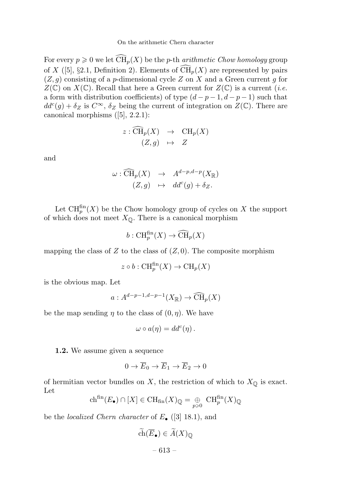For every  $p \geq 0$  we let  $\widehat{\text{CH}}_p(X)$  be the p-th *arithmetic Chow homology* group of X ([5], §2.1, Definition 2). Elements of  $\widehat{\text{CH}}_p(X)$  are represented by pairs  $(Z, g)$  consisting of a p-dimensional cycle Z on X and a Green current g for  $Z(\mathbb{C})$  on  $X(\mathbb{C})$ . Recall that here a Green current for  $Z(\mathbb{C})$  is a current (*i.e.* a form with distribution coefficients) of type  $(d-p-1, d-p-1)$  such that  $dd^c(g) + \delta_Z$  is  $C^{\infty}$ ,  $\delta_Z$  being the current of integration on  $Z(\mathbb{C})$ . There are canonical morphisms ([5], 2.2.1):

$$
z: \widehat{\text{CH}}_p(X) \rightarrow \text{CH}_p(X) (Z, g) \rightarrow Z
$$

and

$$
\omega : \widehat{\text{CH}}_p(X) \rightarrow A^{d-p,d-p}(X_{\mathbb{R}})
$$
  

$$
(Z, g) \mapsto dd^c(g) + \delta_Z.
$$

Let  $\operatorname{CH}_p^{\text{fin}}(X)$  be the Chow homology group of cycles on X the support of which does not meet  $X_{\mathbb{Q}}$ . There is a canonical morphism

$$
b: \operatorname{CH}_p^{\text{fin}}(X) \to \widehat{\operatorname{CH}}_p(X)
$$

mapping the class of  $Z$  to the class of  $(Z, 0)$ . The composite morphism

$$
z \circ b : \operatorname{CH}_p^{\text{fin}}(X) \to \operatorname{CH}_p(X)
$$

is the obvious map. Let

$$
a: A^{d-p-1,d-p-1}(X_{\mathbb{R}}) \to \widehat{\text{CH}}_p(X)
$$

be the map sending  $\eta$  to the class of  $(0, \eta)$ . We have

$$
\omega \circ a(\eta) = dd^c(\eta) .
$$

1.2. We assume given a sequence

$$
0 \to \overline{E}_0 \to \overline{E}_1 \to \overline{E}_2 \to 0
$$

of hermitian vector bundles on X, the restriction of which to  $X_{\mathbb{Q}}$  is exact. Let

$$
\mathrm{ch}^{\mathrm{fin}}(E_{\bullet}) \cap [X] \in \mathrm{CH}_{\mathrm{fin}}(X)_{\mathbb{Q}} = \underset{p \geq 0}{\oplus} \mathrm{CH}_{p}^{\mathrm{fin}}(X)_{\mathbb{Q}}
$$

be the *localized Chern character* of  $E_{\bullet}$  ([3] 18.1), and

$$
\widetilde{\text{ch}}(\overline{E}_{\bullet}) \in \widetilde{A}(X)_{\mathbb{Q}}
$$

$$
- 613 -
$$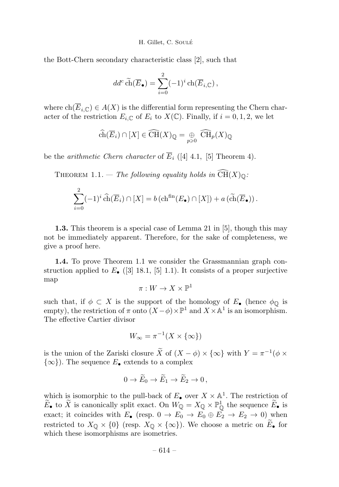H. Gillet, C. Soulé

the Bott-Chern secondary characteristic class [2], such that

$$
dd^c \widetilde{\text{ch}}(\overline{E}_{\bullet}) = \sum_{i=0}^2 (-1)^i \operatorname{ch}(\overline{E}_{i,\mathbb{C}}),
$$

where  $\text{ch}(\overline{E}_{i,\mathbb{C}}) \in A(X)$  is the differential form representing the Chern character of the restriction  $E_i \text{ } \subset \text{ }$  of  $E_i$  to  $X(\mathbb{C})$ . Finally, if  $i = 0, 1, 2$ , we let

$$
\widehat{\text{ch}}(\overline{E}_i) \cap [X] \in \widehat{\text{CH}}(X)_\mathbb{Q} = \underset{p \geq 0}{\oplus} \widehat{\text{CH}}_p(X)_\mathbb{Q}
$$

be the *arithmetic Chern character* of  $\overline{E}_i$  ([4] 4.1, [5] Theorem 4).

THEOREM 1.1. — The following equality holds in  $\widehat{CH}(X)_{\mathbb{Q}}$ :

$$
\sum_{i=0}^{2} (-1)^{i} \widehat{\text{ch}}(\overline{E}_{i}) \cap [X] = b \left( \text{ch}^{\text{fin}}(E_{\bullet}) \cap [X] \right) + a \left( \widetilde{\text{ch}}(\overline{E}_{\bullet}) \right).
$$

1.3. This theorem is a special case of Lemma 21 in [5], though this may not be immediately apparent. Therefore, for the sake of completeness, we give a proof here.

1.4. To prove Theorem 1.1 we consider the Grassmannian graph construction applied to  $E_{\bullet}$  ([3] 18.1, [5] 1.1). It consists of a proper surjective map

$$
\pi:W\to X\times \mathbb{P}^1
$$

such that, if  $\phi \subset X$  is the support of the homology of  $E_{\bullet}$  (hence  $\phi_{\mathbb{Q}}$  is empty), the restriction of  $\pi$  onto  $(X - \phi) \times \mathbb{P}^1$  and  $X \times \mathbb{A}^1$  is an isomorphism. The effective Cartier divisor

$$
W_{\infty} = \pi^{-1}(X \times \{\infty\})
$$

is the union of the Zariski closure  $\widetilde{X}$  of  $(X - \phi) \times \{\infty\}$  with  $Y = \pi^{-1}(\phi \times$  $\{\infty\}$ ). The sequence  $E_{\bullet}$  extends to a complex

$$
0 \to \widetilde{E}_0 \to \widetilde{E}_1 \to \widetilde{E}_2 \to 0,
$$

which is isomorphic to the pull-back of  $E_{\bullet}$  over  $X \times \mathbb{A}^{1}$ . The restriction of  $E_{\bullet}$  to X is canonically split exact. On  $W_{\mathbb{Q}} = X_{\mathbb{Q}} \times \mathbb{P}_{\mathbb{Q}}^1$  the sequence  $E_{\bullet}$  is exact; it coincides with  $E_{\bullet}$  (resp.  $0 \to E_0 \to E_0 \oplus E_2 \to E_2 \to 0$ ) when restricted to  $X_{\mathbb{Q}} \times \{0\}$  (resp.  $X_{\mathbb{Q}} \times \{\infty\}$ ). We choose a metric on  $E_{\bullet}$  for which these isomorphisms are isometries.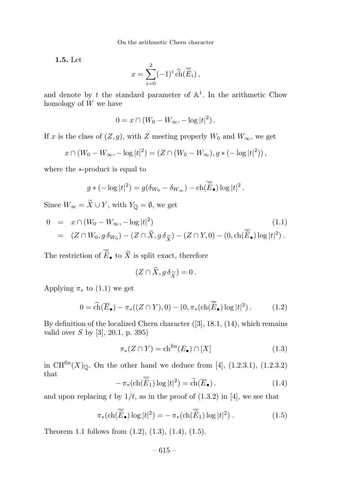1.5. Let

$$
x = \sum_{i=0}^{2} (-1)^{i} \widehat{\text{ch}}(\overline{\widetilde{E}}_{i}),
$$

and denote by t the standard parameter of  $\mathbb{A}^1$ . In the arithmetic Chow homology of W we have

$$
0 = x \cap (W_0 - W_{\infty}, -\log|t|^2).
$$

If x is the class of  $(Z, g)$ , with Z meeting properly  $W_0$  and  $W_{\infty}$ , we get

$$
x \cap (W_0 - W_{\infty}, -\log |t|^2) = (Z \cap (W_0 - W_{\infty}), g * (-\log |t|^2)),
$$

where the ∗-product is equal to

$$
g * (-\log|t|^2) = g(\delta_{W_0} - \delta_{W_{\infty}}) - \mathrm{ch}(\widetilde{\widetilde{E}}_{\bullet}) \log|t|^2.
$$

Since  $W_{\infty} = \widetilde{X} \cup Y$ , with  $Y_{\mathbb{Q}} = \emptyset$ , we get

$$
0 = x \cap (W_0 - W_{\infty}, -\log|t|^2)
$$
\n
$$
= (Z \cap W_0, g \, \delta_{W_0}) - (Z \cap \widetilde{X}, g \, \delta_{\widetilde{X}}) - (Z \cap Y, 0) - (0, \text{ch}(\widetilde{\widetilde{E}}_{\bullet}) \log|t|^2).
$$
\n
$$
(1.1)
$$

The restriction of  $\overline{\widetilde{E}}_{\bullet}$  to  $\widetilde{X}$  is split exact, therefore

$$
(Z \cap \widetilde{X}, g \,\delta_{\widetilde{X}}) = 0\,.
$$

Applying  $\pi_*$  to (1.1) we get

$$
0 = \widehat{\text{ch}}(\overline{E}_{\bullet}) - \pi_*((Z \cap Y), 0) - (0, \pi_*(\text{ch}(\overline{\widetilde{E}}_{\bullet}) \log |t|^2). \tag{1.2}
$$

By definition of the localized Chern character ([3], 18.1, (14), which remains valid over  $S$  by [3], 20.1, p. 395)

$$
\pi_*(Z \cap Y) = \operatorname{ch}^{\operatorname{fin}}(E_{\bullet}) \cap [X] \tag{1.3}
$$

in  $\text{CH}^{\text{fin}}(X)_{\mathbb{Q}}$ . On the other hand we deduce from [4], (1.2.3.1), (1.2.3.2) that

$$
-\pi_* (\mathrm{ch}(\overline{\widetilde{E}}_1) \log |t|^2) = \widetilde{\mathrm{ch}}(\overline{E}_\bullet). \tag{1.4}
$$

and upon replacing t by  $1/t$ , as in the proof of  $(1.3.2)$  in [4], we see that

$$
\pi_* (\text{ch}(\overline{\widetilde{E}}_{\bullet}) \log |t|^2) = -\pi_* (\text{ch}(\overline{\widetilde{E}}_1) \log |t|^2) . \tag{1.5}
$$

Theorem 1.1 follows from (1.2), (1.3), (1.4), (1.5).

 $-615-$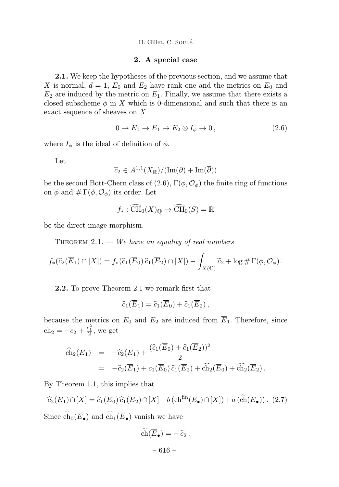H. Gillet, C. Soulé

#### 2. A special case

2.1. We keep the hypotheses of the previous section, and we assume that X is normal,  $d = 1$ ,  $E_0$  and  $E_2$  have rank one and the metrics on  $E_0$  and  $E_2$  are induced by the metric on  $E_1$ . Finally, we assume that there exists a closed subscheme  $\phi$  in X which is 0-dimensional and such that there is an exact sequence of sheaves on X

$$
0 \to E_0 \to E_1 \to E_2 \otimes I_\phi \to 0, \qquad (2.6)
$$

where  $I_{\phi}$  is the ideal of definition of  $\phi$ .

Let

$$
\widetilde{c}_2 \in A^{1,1}(X_{\mathbb{R}})/( \mathrm{Im}(\partial) + \mathrm{Im}(\overline{\partial}))
$$

be the second Bott-Chern class of (2.6),  $\Gamma(\phi, \mathcal{O}_\phi)$  the finite ring of functions on  $\phi$  and  $\#\Gamma(\phi, \mathcal{O}_{\phi})$  its order. Let

$$
f_* : \widehat{\text{CH}}_0(X)_{\mathbb{Q}} \to \widehat{\text{CH}}_0(S) = \mathbb{R}
$$

be the direct image morphism.

THEOREM  $2.1.$  — We have an equality of real numbers

$$
f_*(\widehat{c}_2(\overline{E}_1) \cap [X]) = f_*(\widehat{c}_1(\overline{E}_0) \widehat{c}_1(\overline{E}_2) \cap [X]) - \int_{X(\mathbb{C})} \widetilde{c}_2 + \log \# \Gamma(\phi, \mathcal{O}_{\phi}).
$$

2.2. To prove Theorem 2.1 we remark first that

$$
\widehat{c}_1(\overline{E}_1) = \widehat{c}_1(\overline{E}_0) + \widehat{c}_1(\overline{E}_2),
$$

because the metrics on  $E_0$  and  $E_2$  are induced from  $E_1$ . Therefore, since  $ch_2 = -c_2 + \frac{c_1^2}{2}$ , we get

$$
\begin{array}{rcl}\n\widehat{\text{ch}}_2(\overline{E}_1) & = & -\widehat{c}_2(\overline{E}_1) + \frac{(\widehat{c}_1(\overline{E}_0) + \widehat{c}_1(\overline{E}_2))^2}{2} \\
& = & -\widehat{c}_2(\overline{E}_1) + c_1(\overline{E}_0)\,\widehat{c}_1(\overline{E}_2) + \widehat{\text{ch}}_2(\overline{E}_0) + \widehat{\text{ch}}_2(\overline{E}_2)\,. \n\end{array}
$$

By Theorem 1.1, this implies that

$$
\widehat{c}_2(\overline{E}_1) \cap [X] = \widehat{c}_1(\overline{E}_0) \widehat{c}_1(\overline{E}_2) \cap [X] + b \left( \mathrm{ch}^{\mathrm{fin}}(E_\bullet) \cap [X] \right) + a \left( \widetilde{\mathrm{ch}}(\overline{E}_\bullet) \right). \tag{2.7}
$$

Since  $ch_0(E_{\bullet})$  and  $ch_1(E_{\bullet})$  vanish we have

$$
\operatorname{ch}(\overline{E}_{\bullet})=-\widetilde{c}_2.
$$

 $-616-$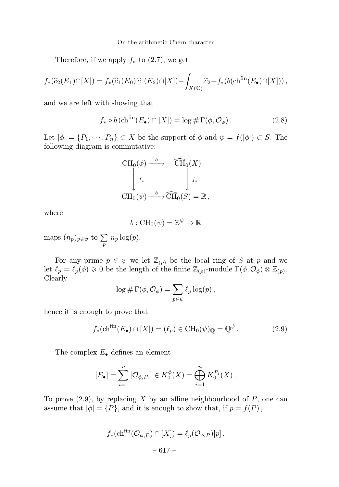On the arithmetic Chern character

Therefore, if we apply  $f_*$  to (2.7), we get

$$
f_*(\widehat{c}_2(\overline{E}_1) \cap [X]) = f_*(\widehat{c}_1(\overline{E}_0) \widehat{c}_1(\overline{E}_2) \cap [X]) - \int_{X(\mathbb{C})} \widetilde{c}_2 + f_*(b(\mathrm{ch}^{\text{fin}}(E_{\bullet}) \cap [X])) ,
$$

and we are left with showing that

$$
f_* \circ b \left( \mathrm{ch}^{\mathrm{fin}}(E_{\bullet}) \cap [X] \right) = \log \# \Gamma(\phi, \mathcal{O}_{\phi}). \tag{2.8}
$$

Let  $|\phi| = \{P_1, \dots, P_n\} \subset X$  be the support of  $\phi$  and  $\psi = f(|\phi|) \subset S$ . The following diagram is commutative:

$$
\begin{array}{ccc}\n\text{CH}_0(\phi) \xrightarrow{b} & \widehat{\text{CH}}_0(X) \\
\downarrow f_* & \downarrow f_* \\
\text{CH}_0(\psi) \xrightarrow{b} \widehat{\text{CH}}_0(S) = \mathbb{R} \,,\n\end{array}
$$

where

$$
b: \operatorname{CH}_0(\psi) = \mathbb{Z}^{\psi} \to \mathbb{R}
$$

maps  $(n_p)_{p \in \psi}$  to  $\sum$  $\sum\limits_p\,n_p\log(p).$ 

For any prime  $p \in \psi$  we let  $\mathbb{Z}_{(p)}$  be the local ring of S at p and we let  $\ell_p = \ell_p(\phi) \geq 0$  be the length of the finite  $\mathbb{Z}_{(p)}$ -module  $\Gamma(\phi, \mathcal{O}_{\phi}) \otimes \mathbb{Z}_{(p)}$ . Clearly

$$
\log \# \Gamma(\phi, \mathcal{O}_{\phi}) = \sum_{p \in \psi} \ell_p \log(p),
$$

hence it is enough to prove that

$$
f_*(\mathrm{ch}^{\mathrm{fin}}(E_{\bullet}) \cap [X]) = (\ell_p) \in \mathrm{CH}_0(\psi)_{\mathbb{Q}} = \mathbb{Q}^{\psi} . \tag{2.9}
$$

The complex  $E_{\bullet}$  defines an element

$$
[E_{\bullet}] = \sum_{i=1}^{n} [\mathcal{O}_{\phi, P_i}] \in K_0^{\phi}(X) = \bigoplus_{i=1}^{n} K_0^{P_i}(X).
$$

To prove  $(2.9)$ , by replacing X by an affine neighbourhood of P, one can assume that  $|\phi| = \{P\}$ , and it is enough to show that, if  $p = f(P)$ ,

$$
f_*\left(\mathrm{ch}^{\mathrm{fin}}(\mathcal{O}_{\phi,P}) \cap [X]\right) = \ell_p(\mathcal{O}_{\phi,P})[p].
$$
  
- 617 -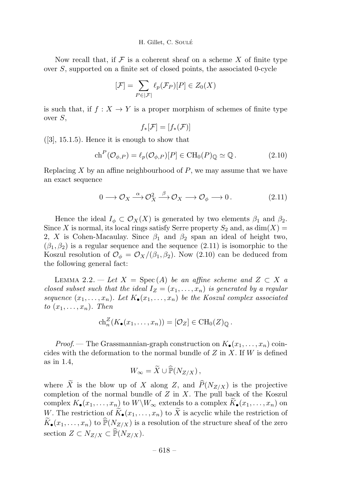#### H. Gillet, C. SOULÉ

Now recall that, if  $\mathcal F$  is a coherent sheaf on a scheme  $X$  of finite type over S, supported on a finite set of closed points, the associated 0-cycle

$$
[\mathcal{F}]=\sum_{P\in |\mathcal{F}|}\ell_p(\mathcal{F}_P)[P]\in Z_0(X)
$$

is such that, if  $f: X \to Y$  is a proper morphism of schemes of finite type over S,

$$
f_*[\mathcal{F}] = [f_*(\mathcal{F})]
$$

 $([3], 15.1.5)$ . Hence it is enough to show that

$$
\mathrm{ch}^P(\mathcal{O}_{\phi,P}) = \ell_p(\mathcal{O}_{\phi,P})[P] \in \mathrm{CH}_0(P)_{\mathbb{Q}} \simeq \mathbb{Q}. \tag{2.10}
$$

Replacing  $X$  by an affine neighbourhood of  $P$ , we may assume that we have an exact sequence

$$
0 \longrightarrow \mathcal{O}_X \stackrel{\alpha}{\longrightarrow} \mathcal{O}_X^2 \stackrel{\beta}{\longrightarrow} \mathcal{O}_X \longrightarrow \mathcal{O}_{\phi} \longrightarrow 0. \qquad (2.11)
$$

Hence the ideal  $I_{\phi} \subset \mathcal{O}_X(X)$  is generated by two elements  $\beta_1$  and  $\beta_2$ . Since X is normal, its local rings satisfy Serre property  $S_2$  and, as  $dim(X)$ 2, X is Cohen-Macaulay. Since  $\beta_1$  and  $\beta_2$  span an ideal of height two,  $(\beta_1, \beta_2)$  is a regular sequence and the sequence  $(2.11)$  is isomorphic to the Koszul resolution of  $\mathcal{O}_{\phi} = \mathcal{O}_X/(\beta_1, \beta_2)$ . Now (2.10) can be deduced from the following general fact:

LEMMA 2.2. — Let  $X = \text{Spec}(A)$  be an affine scheme and  $Z \subset X$  a closed subset such that the ideal  $I_z = (x_1, \ldots, x_n)$  is generated by a regular sequence  $(x_1,\ldots,x_n)$ . Let  $K_{\bullet}(x_1,\ldots,x_n)$  be the Koszul complex associated to  $(x_1,\ldots,x_n)$ . Then

$$
\mathrm{ch}_n^Z(K_{\bullet}(x_1,\ldots,x_n))=[\mathcal{O}_Z]\in \mathrm{CH}_0(Z)_{\mathbb{Q}}.
$$

*Proof.* — The Grassmannian-graph construction on  $K_{\bullet}(x_1,...,x_n)$  coincides with the deformation to the normal bundle of  $Z$  in  $X$ . If  $W$  is defined as in 1.4,

$$
W_{\infty} = \widetilde{X} \cup \widehat{\mathbb{P}}(N_{Z/X}),
$$

where X is the blow up of X along Z, and  $P(N_{Z/X})$  is the projective completion of the normal bundle of  $Z$  in  $X$ . The pull back of the Koszul complex  $K_{\bullet}(x_1,\ldots,x_n)$  to  $W\backslash W_{\infty}$  extends to a complex  $\widetilde{K}_{\bullet}(x_1,\ldots,x_n)$  on W. The restriction of  $\widetilde{K}_{\bullet}(x_1,\ldots,x_n)$  to  $\widetilde{X}$  is acyclic while the restriction of  $K_{\bullet}(x_1,\ldots,x_n)$  to  $\mathbb{P}(N_{Z/X})$  is a resolution of the structure sheaf of the zero section  $Z \subset N_{Z/X} \subset \mathbb{P}(N_{Z/X}).$